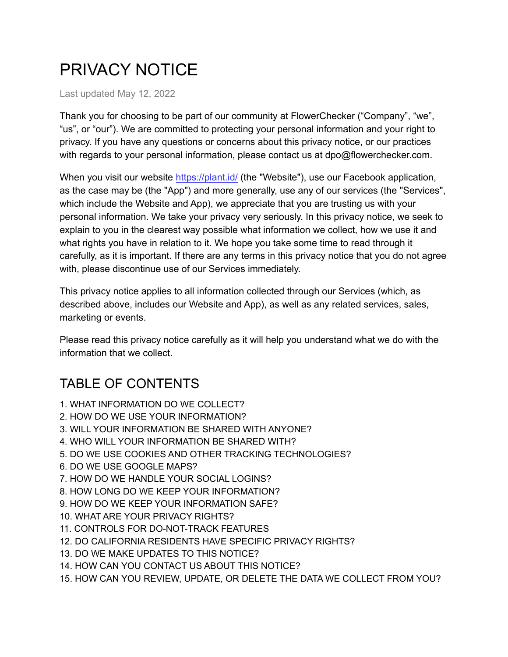# PRIVACY NOTICE

Last updated May 12, 2022

Thank you for choosing to be part of our community at FlowerChecker ("Company", "we", "us", or "our"). We are committed to protecting your personal information and your right to privacy. If you have any questions or concerns about this privacy notice, or our practices with regards to your personal information, please contact us at dpo@flowerchecker.com.

When you visit our website <https://plant.id/> (the "Website"), use our Facebook application, as the case may be (the "App") and more generally, use any of our services (the "Services", which include the Website and App), we appreciate that you are trusting us with your personal information. We take your privacy very seriously. In this privacy notice, we seek to explain to you in the clearest way possible what information we collect, how we use it and what rights you have in relation to it. We hope you take some time to read through it carefully, as it is important. If there are any terms in this privacy notice that you do not agree with, please discontinue use of our Services immediately.

This privacy notice applies to all information collected through our Services (which, as described above, includes our Website and App), as well as any related services, sales, marketing or events.

Please read this privacy notice carefully as it will help you understand what we do with the information that we collect.

# TABLE OF CONTENTS

- 1. WHAT INFORMATION DO WE COLLECT?
- 2. HOW DO WE USE YOUR INFORMATION?
- 3. WILL YOUR INFORMATION BE SHARED WITH ANYONE?
- 4. WHO WILL YOUR INFORMATION BE SHARED WITH?
- 5. DO WE USE COOKIES AND OTHER TRACKING TECHNOLOGIES?
- 6. DO WE USE GOOGLE MAPS?
- 7. HOW DO WE HANDLE YOUR SOCIAL LOGINS?
- 8. HOW LONG DO WE KEEP YOUR INFORMATION?
- 9. HOW DO WE KEEP YOUR INFORMATION SAFE?
- 10. WHAT ARE YOUR PRIVACY RIGHTS?
- 11. CONTROLS FOR DO-NOT-TRACK FEATURES
- 12. DO CALIFORNIA RESIDENTS HAVE SPECIFIC PRIVACY RIGHTS?
- 13. DO WE MAKE UPDATES TO THIS NOTICE?
- 14. HOW CAN YOU CONTACT US ABOUT THIS NOTICE?
- 15. HOW CAN YOU REVIEW, UPDATE, OR DELETE THE DATA WE COLLECT FROM YOU?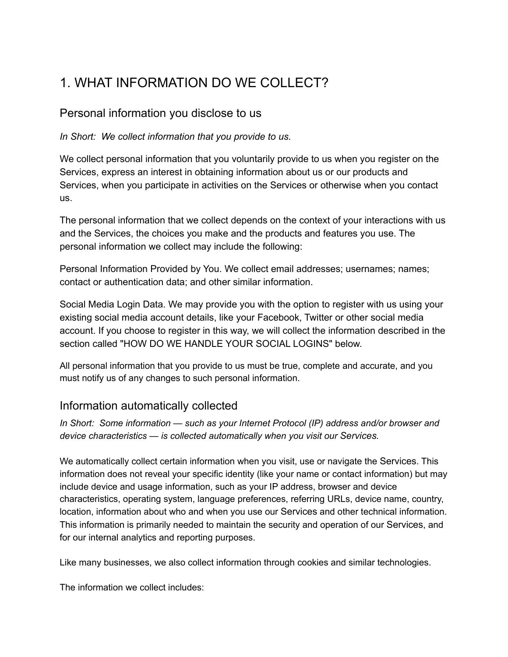# 1. WHAT INFORMATION DO WE COLLECT?

#### Personal information you disclose to us

*In Short: We collect information that you provide to us.*

We collect personal information that you voluntarily provide to us when you register on the Services, express an interest in obtaining information about us or our products and Services, when you participate in activities on the Services or otherwise when you contact us.

The personal information that we collect depends on the context of your interactions with us and the Services, the choices you make and the products and features you use. The personal information we collect may include the following:

Personal Information Provided by You. We collect email addresses; usernames; names; contact or authentication data; and other similar information.

Social Media Login Data. We may provide you with the option to register with us using your existing social media account details, like your Facebook, Twitter or other social media account. If you choose to register in this way, we will collect the information described in the section called "HOW DO WE HANDLE YOUR SOCIAL LOGINS" below.

All personal information that you provide to us must be true, complete and accurate, and you must notify us of any changes to such personal information.

#### Information automatically collected

*In Short: Some information — such as your Internet Protocol (IP) address and/or browser and device characteristics — is collected automatically when you visit our Services.*

We automatically collect certain information when you visit, use or navigate the Services. This information does not reveal your specific identity (like your name or contact information) but may include device and usage information, such as your IP address, browser and device characteristics, operating system, language preferences, referring URLs, device name, country, location, information about who and when you use our Services and other technical information. This information is primarily needed to maintain the security and operation of our Services, and for our internal analytics and reporting purposes.

Like many businesses, we also collect information through cookies and similar technologies.

The information we collect includes: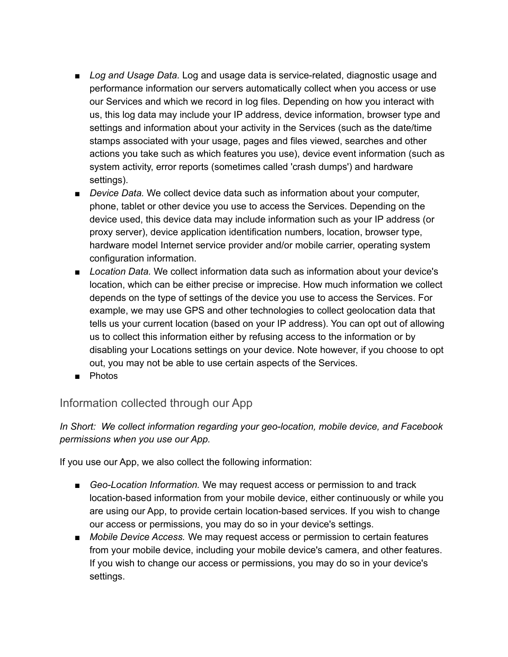- *Log and Usage Data.* Log and usage data is service-related, diagnostic usage and performance information our servers automatically collect when you access or use our Services and which we record in log files. Depending on how you interact with us, this log data may include your IP address, device information, browser type and settings and information about your activity in the Services (such as the date/time stamps associated with your usage, pages and files viewed, searches and other actions you take such as which features you use), device event information (such as system activity, error reports (sometimes called 'crash dumps') and hardware settings).
- *Device Data.* We collect device data such as information about your computer, phone, tablet or other device you use to access the Services. Depending on the device used, this device data may include information such as your IP address (or proxy server), device application identification numbers, location, browser type, hardware model Internet service provider and/or mobile carrier, operating system configuration information.
- *Location Data.* We collect information data such as information about your device's location, which can be either precise or imprecise. How much information we collect depends on the type of settings of the device you use to access the Services. For example, we may use GPS and other technologies to collect geolocation data that tells us your current location (based on your IP address). You can opt out of allowing us to collect this information either by refusing access to the information or by disabling your Locations settings on your device. Note however, if you choose to opt out, you may not be able to use certain aspects of the Services.
- Photos

#### Information collected through our App

*In Short: We collect information regarding your geo-location, mobile device, and Facebook permissions when you use our App.*

If you use our App, we also collect the following information:

- *Geo-Location Information.* We may request access or permission to and track location-based information from your mobile device, either continuously or while you are using our App, to provide certain location-based services. If you wish to change our access or permissions, you may do so in your device's settings.
- *Mobile Device Access.* We may request access or permission to certain features from your mobile device, including your mobile device's camera, and other features. If you wish to change our access or permissions, you may do so in your device's settings.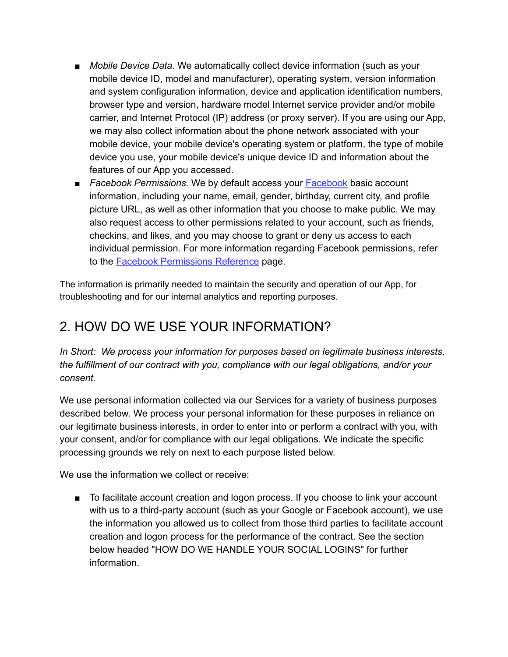- *Mobile Device Data.* We automatically collect device information (such as your mobile device ID, model and manufacturer), operating system, version information and system configuration information, device and application identification numbers, browser type and version, hardware model Internet service provider and/or mobile carrier, and Internet Protocol (IP) address (or proxy server). If you are using our App, we may also collect information about the phone network associated with your mobile device, your mobile device's operating system or platform, the type of mobile device you use, your mobile device's unique device ID and information about the features of our App you accessed.
- *[Facebook](https://www.facebook.com/about/privacy/) Permissions.* We by default access your Facebook basic account information, including your name, email, gender, birthday, current city, and profile picture URL, as well as other information that you choose to make public. We may also request access to other permissions related to your account, such as friends, checkins, and likes, and you may choose to grant or deny us access to each individual permission. For more information regarding Facebook permissions, refer to the Facebook [Permissions](https://developers.facebook.com/docs/facebook-login/permissions) Reference page.

The information is primarily needed to maintain the security and operation of our App, for troubleshooting and for our internal analytics and reporting purposes.

#### 2. HOW DO WE USE YOUR INFORMATION?

*In Short: We process your information for purposes based on legitimate business interests, the fulfillment of our contract with you, compliance with our legal obligations, and/or your consent.*

We use personal information collected via our Services for a variety of business purposes described below. We process your personal information for these purposes in reliance on our legitimate business interests, in order to enter into or perform a contract with you, with your consent, and/or for compliance with our legal obligations. We indicate the specific processing grounds we rely on next to each purpose listed below.

We use the information we collect or receive:

■ To facilitate account creation and logon process. If you choose to link your account with us to a third-party account (such as your Google or Facebook account), we use the information you allowed us to collect from those third parties to facilitate account creation and logon process for the performance of the contract. See the section below headed "HOW DO WE HANDLE YOUR SOCIAL LOGINS" for further information.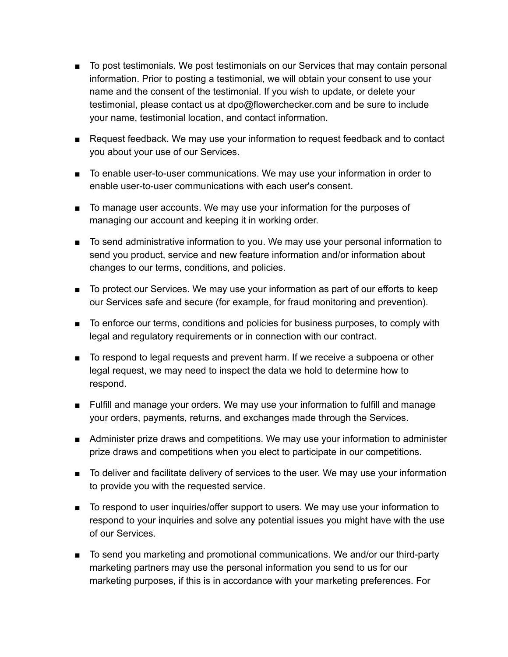- To post testimonials. We post testimonials on our Services that may contain personal information. Prior to posting a testimonial, we will obtain your consent to use your name and the consent of the testimonial. If you wish to update, or delete your testimonial, please contact us at dpo@flowerchecker.com and be sure to include your name, testimonial location, and contact information.
- Request feedback. We may use your information to request feedback and to contact you about your use of our Services.
- To enable user-to-user communications. We may use your information in order to enable user-to-user communications with each user's consent.
- To manage user accounts. We may use your information for the purposes of managing our account and keeping it in working order.
- To send administrative information to you. We may use your personal information to send you product, service and new feature information and/or information about changes to our terms, conditions, and policies.
- To protect our Services. We may use your information as part of our efforts to keep our Services safe and secure (for example, for fraud monitoring and prevention).
- To enforce our terms, conditions and policies for business purposes, to comply with legal and regulatory requirements or in connection with our contract.
- To respond to legal requests and prevent harm. If we receive a subpoena or other legal request, we may need to inspect the data we hold to determine how to respond.
- Fulfill and manage your orders. We may use your information to fulfill and manage your orders, payments, returns, and exchanges made through the Services.
- Administer prize draws and competitions. We may use your information to administer prize draws and competitions when you elect to participate in our competitions.
- To deliver and facilitate delivery of services to the user. We may use your information to provide you with the requested service.
- To respond to user inquiries/offer support to users. We may use your information to respond to your inquiries and solve any potential issues you might have with the use of our Services.
- To send you marketing and promotional communications. We and/or our third-party marketing partners may use the personal information you send to us for our marketing purposes, if this is in accordance with your marketing preferences. For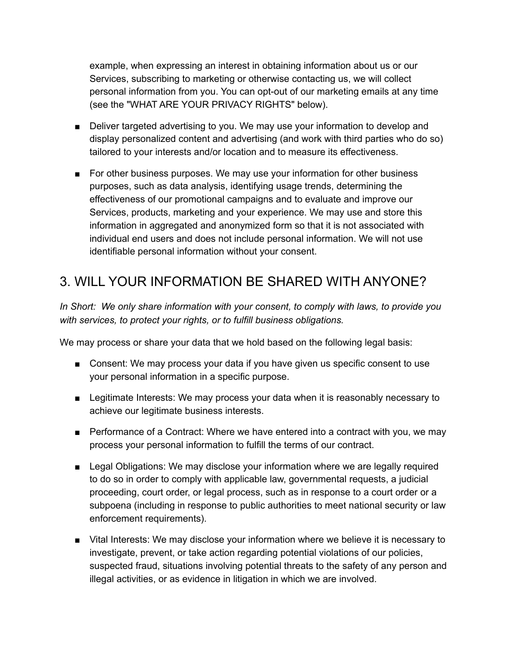example, when expressing an interest in obtaining information about us or our Services, subscribing to marketing or otherwise contacting us, we will collect personal information from you. You can opt-out of our marketing emails at any time (see the "WHAT ARE YOUR PRIVACY RIGHTS" below).

- Deliver targeted advertising to you. We may use your information to develop and display personalized content and advertising (and work with third parties who do so) tailored to your interests and/or location and to measure its effectiveness.
- For other business purposes. We may use your information for other business purposes, such as data analysis, identifying usage trends, determining the effectiveness of our promotional campaigns and to evaluate and improve our Services, products, marketing and your experience. We may use and store this information in aggregated and anonymized form so that it is not associated with individual end users and does not include personal information. We will not use identifiable personal information without your consent.

#### 3. WILL YOUR INFORMATION BE SHARED WITH ANYONE?

*In Short: We only share information with your consent, to comply with laws, to provide you with services, to protect your rights, or to fulfill business obligations.*

We may process or share your data that we hold based on the following legal basis:

- Consent: We may process your data if you have given us specific consent to use your personal information in a specific purpose.
- Legitimate Interests: We may process your data when it is reasonably necessary to achieve our legitimate business interests.
- Performance of a Contract: Where we have entered into a contract with you, we may process your personal information to fulfill the terms of our contract.
- Legal Obligations: We may disclose your information where we are legally required to do so in order to comply with applicable law, governmental requests, a judicial proceeding, court order, or legal process, such as in response to a court order or a subpoena (including in response to public authorities to meet national security or law enforcement requirements).
- Vital Interests: We may disclose your information where we believe it is necessary to investigate, prevent, or take action regarding potential violations of our policies, suspected fraud, situations involving potential threats to the safety of any person and illegal activities, or as evidence in litigation in which we are involved.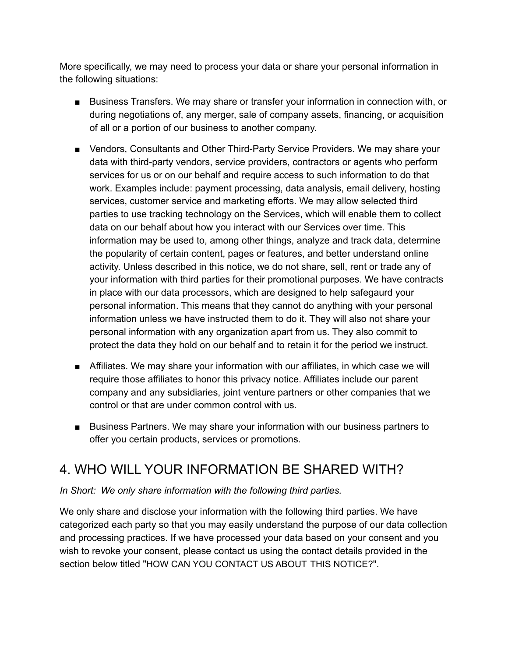More specifically, we may need to process your data or share your personal information in the following situations:

- Business Transfers. We may share or transfer your information in connection with, or during negotiations of, any merger, sale of company assets, financing, or acquisition of all or a portion of our business to another company.
- Vendors, Consultants and Other Third-Party Service Providers. We may share your data with third-party vendors, service providers, contractors or agents who perform services for us or on our behalf and require access to such information to do that work. Examples include: payment processing, data analysis, email delivery, hosting services, customer service and marketing efforts. We may allow selected third parties to use tracking technology on the Services, which will enable them to collect data on our behalf about how you interact with our Services over time. This information may be used to, among other things, analyze and track data, determine the popularity of certain content, pages or features, and better understand online activity. Unless described in this notice, we do not share, sell, rent or trade any of your information with third parties for their promotional purposes. We have contracts in place with our data processors, which are designed to help safegaurd your personal information. This means that they cannot do anything with your personal information unless we have instructed them to do it. They will also not share your personal information with any organization apart from us. They also commit to protect the data they hold on our behalf and to retain it for the period we instruct.
- Affiliates. We may share your information with our affiliates, in which case we will require those affiliates to honor this privacy notice. Affiliates include our parent company and any subsidiaries, joint venture partners or other companies that we control or that are under common control with us.
- Business Partners. We may share your information with our business partners to offer you certain products, services or promotions.

#### 4. WHO WILL YOUR INFORMATION BE SHARED WITH?

#### *In Short: We only share information with the following third parties.*

We only share and disclose your information with the following third parties. We have categorized each party so that you may easily understand the purpose of our data collection and processing practices. If we have processed your data based on your consent and you wish to revoke your consent, please contact us using the contact details provided in the section below titled "HOW CAN YOU CONTACT US ABOUT THIS NOTICE?".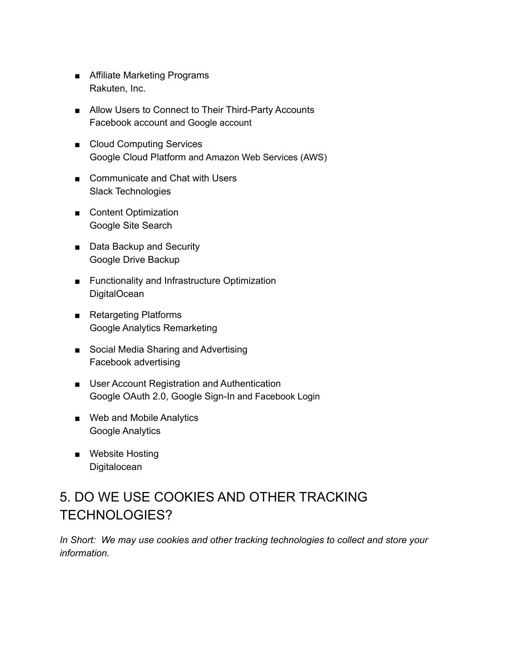- Affiliate Marketing Programs Rakuten, Inc.
- Allow Users to Connect to Their Third-Party Accounts Facebook account and Google account
- Cloud Computing Services Google Cloud Platform and Amazon Web Services (AWS)
- Communicate and Chat with Users Slack Technologies
- Content Optimization Google Site Search
- Data Backup and Security Google Drive Backup
- Functionality and Infrastructure Optimization **DigitalOcean**
- Retargeting Platforms Google Analytics Remarketing
- Social Media Sharing and Advertising Facebook advertising
- User Account Registration and Authentication Google OAuth 2.0, Google Sign-In and Facebook Login
- Web and Mobile Analytics Google Analytics
- Website Hosting **Digitalocean**

# 5. DO WE USE COOKIES AND OTHER TRACKING TECHNOLOGIES?

*In Short: We may use cookies and other tracking technologies to collect and store your information.*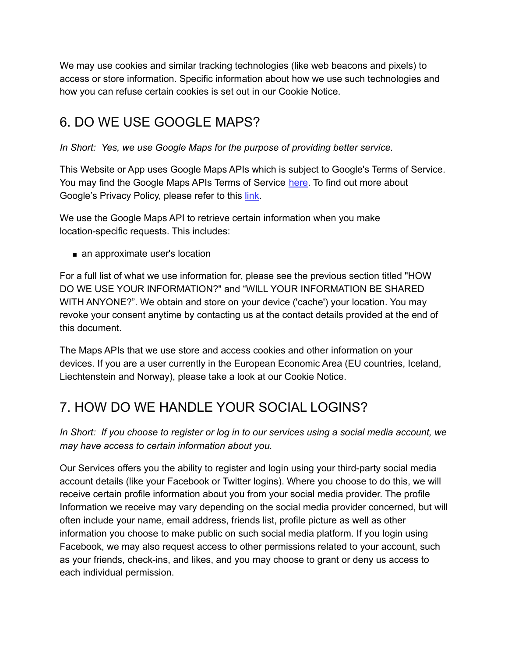We may use cookies and similar tracking technologies (like web beacons and pixels) to access or store information. Specific information about how we use such technologies and how you can refuse certain cookies is set out in our Cookie Notice.

#### 6. DO WE USE GOOGLE MAPS?

*In Short: Yes, we use Google Maps for the purpose of providing better service.*

This Website or App uses Google Maps APIs which is subject to Google's Terms of Service. You may find the Google Maps APIs Terms of Service [here](https://developers.google.com/maps/terms). To find out more about Google's Privacy Policy, please refer to this [link](https://policies.google.com/privacy).

We use the Google Maps API to retrieve certain information when you make location-specific requests. This includes:

■ an approximate user's location

For a full list of what we use information for, please see the previous section titled "HOW DO WE USE YOUR INFORMATION?" and "WILL YOUR INFORMATION BE SHARED WITH ANYONE?". We obtain and store on your device ('cache') your location. You may revoke your consent anytime by contacting us at the contact details provided at the end of this document.

The Maps APIs that we use store and access cookies and other information on your devices. If you are a user currently in the European Economic Area (EU countries, Iceland, Liechtenstein and Norway), please take a look at our Cookie Notice.

# 7. HOW DO WE HANDLE YOUR SOCIAL LOGINS?

In Short: If you choose to register or log in to our services using a social media account, we *may have access to certain information about you.*

Our Services offers you the ability to register and login using your third-party social media account details (like your Facebook or Twitter logins). Where you choose to do this, we will receive certain profile information about you from your social media provider. The profile Information we receive may vary depending on the social media provider concerned, but will often include your name, email address, friends list, profile picture as well as other information you choose to make public on such social media platform. If you login using Facebook, we may also request access to other permissions related to your account, such as your friends, check-ins, and likes, and you may choose to grant or deny us access to each individual permission.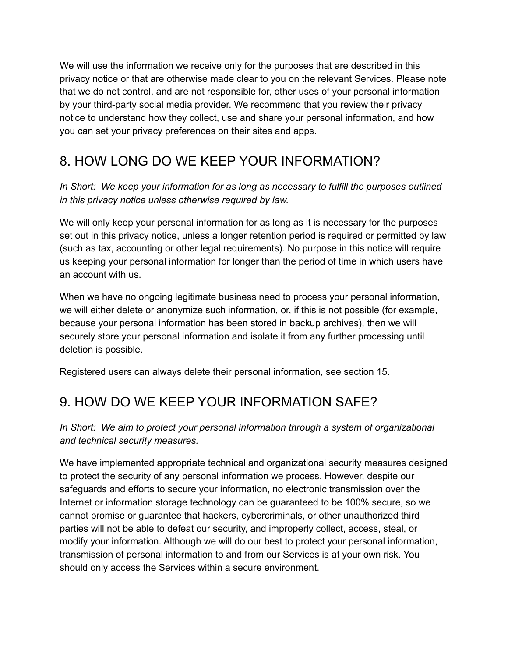We will use the information we receive only for the purposes that are described in this privacy notice or that are otherwise made clear to you on the relevant Services. Please note that we do not control, and are not responsible for, other uses of your personal information by your third-party social media provider. We recommend that you review their privacy notice to understand how they collect, use and share your personal information, and how you can set your privacy preferences on their sites and apps.

# 8. HOW LONG DO WE KEEP YOUR INFORMATION?

*In Short: We keep your information for as long as necessary to fulfill the purposes outlined in this privacy notice unless otherwise required by law.*

We will only keep your personal information for as long as it is necessary for the purposes set out in this privacy notice, unless a longer retention period is required or permitted by law (such as tax, accounting or other legal requirements). No purpose in this notice will require us keeping your personal information for longer than the period of time in which users have an account with us.

When we have no ongoing legitimate business need to process your personal information, we will either delete or anonymize such information, or, if this is not possible (for example, because your personal information has been stored in backup archives), then we will securely store your personal information and isolate it from any further processing until deletion is possible.

Registered users can always delete their personal information, see section 15.

# 9. HOW DO WE KEEP YOUR INFORMATION SAFE?

#### *In Short: We aim to protect your personal information through a system of organizational and technical security measures.*

We have implemented appropriate technical and organizational security measures designed to protect the security of any personal information we process. However, despite our safeguards and efforts to secure your information, no electronic transmission over the Internet or information storage technology can be guaranteed to be 100% secure, so we cannot promise or guarantee that hackers, cybercriminals, or other unauthorized third parties will not be able to defeat our security, and improperly collect, access, steal, or modify your information. Although we will do our best to protect your personal information, transmission of personal information to and from our Services is at your own risk. You should only access the Services within a secure environment.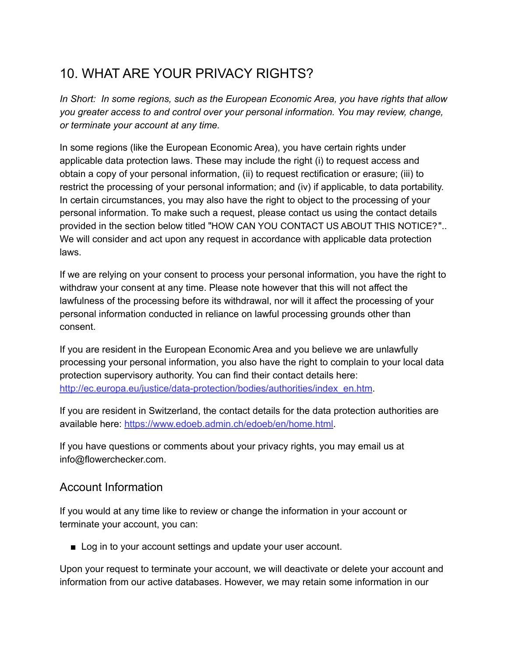#### 10. WHAT ARE YOUR PRIVACY RIGHTS?

*In Short: In some regions, such as the European Economic Area, you have rights that allow you greater access to and control over your personal information. You may review, change, or terminate your account at any time.*

In some regions (like the European Economic Area), you have certain rights under applicable data protection laws. These may include the right (i) to request access and obtain a copy of your personal information, (ii) to request rectification or erasure; (iii) to restrict the processing of your personal information; and (iv) if applicable, to data portability. In certain circumstances, you may also have the right to object to the processing of your personal information. To make such a request, please contact us using the contact details provided in the section below titled "HOW CAN YOU CONTACT US ABOUT THIS NOTICE?".. We will consider and act upon any request in accordance with applicable data protection laws.

If we are relying on your consent to process your personal information, you have the right to withdraw your consent at any time. Please note however that this will not affect the lawfulness of the processing before its withdrawal, nor will it affect the processing of your personal information conducted in reliance on lawful processing grounds other than consent.

If you are resident in the European Economic Area and you believe we are unlawfully processing your personal information, you also have the right to complain to your local data protection supervisory authority. You can find their contact details here: [http://ec.europa.eu/justice/data-protection/bodies/authorities/index\\_en.htm](http://ec.europa.eu/justice/data-protection/bodies/authorities/index_en.htm).

If you are resident in Switzerland, the contact details for the data protection authorities are available here: [https://www.edoeb.admin.ch/edoeb/en/home.html.](https://www.edoeb.admin.ch/edoeb/en/home.html)

If you have questions or comments about your privacy rights, you may email us at info@flowerchecker.com.

#### Account Information

If you would at any time like to review or change the information in your account or terminate your account, you can:

■ Log in to your account settings and update your user account.

Upon your request to terminate your account, we will deactivate or delete your account and information from our active databases. However, we may retain some information in our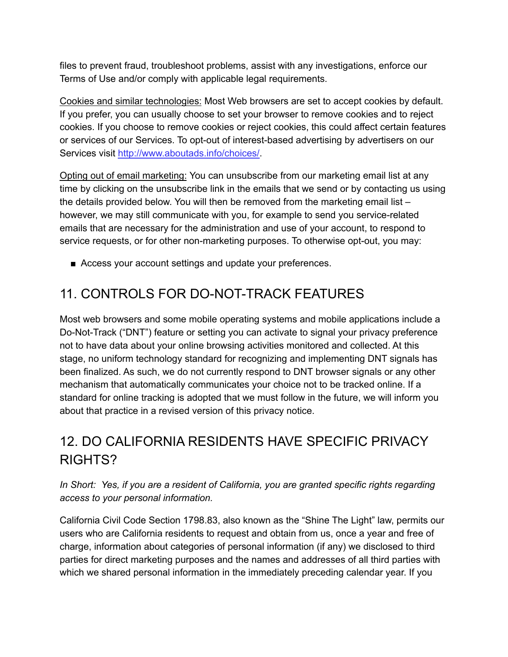files to prevent fraud, troubleshoot problems, assist with any investigations, enforce our Terms of Use and/or comply with applicable legal requirements.

Cookies and similar technologies: Most Web browsers are set to accept cookies by default. If you prefer, you can usually choose to set your browser to remove cookies and to reject cookies. If you choose to remove cookies or reject cookies, this could affect certain features or services of our Services. To opt-out of interest-based advertising by advertisers on our Services visit [http://www.aboutads.info/choices/.](http://www.aboutads.info/choices/)

Opting out of email marketing: You can unsubscribe from our marketing email list at any time by clicking on the unsubscribe link in the emails that we send or by contacting us using the details provided below. You will then be removed from the marketing email list – however, we may still communicate with you, for example to send you service-related emails that are necessary for the administration and use of your account, to respond to service requests, or for other non-marketing purposes. To otherwise opt-out, you may:

■ Access your account settings and update your preferences.

# 11. CONTROLS FOR DO-NOT-TRACK FEATURES

Most web browsers and some mobile operating systems and mobile applications include a Do-Not-Track ("DNT") feature or setting you can activate to signal your privacy preference not to have data about your online browsing activities monitored and collected. At this stage, no uniform technology standard for recognizing and implementing DNT signals has been finalized. As such, we do not currently respond to DNT browser signals or any other mechanism that automatically communicates your choice not to be tracked online. If a standard for online tracking is adopted that we must follow in the future, we will inform you about that practice in a revised version of this privacy notice.

# 12. DO CALIFORNIA RESIDENTS HAVE SPECIFIC PRIVACY RIGHTS?

*In Short: Yes, if you are a resident of California, you are granted specific rights regarding access to your personal information.*

California Civil Code Section 1798.83, also known as the "Shine The Light" law, permits our users who are California residents to request and obtain from us, once a year and free of charge, information about categories of personal information (if any) we disclosed to third parties for direct marketing purposes and the names and addresses of all third parties with which we shared personal information in the immediately preceding calendar year. If you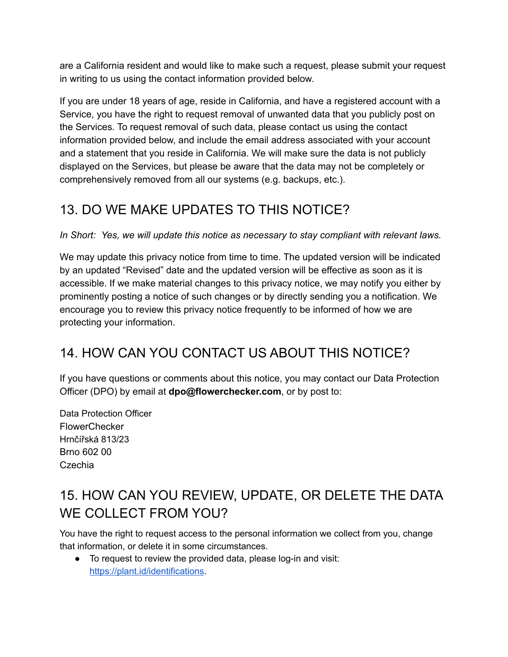are a California resident and would like to make such a request, please submit your request in writing to us using the contact information provided below.

If you are under 18 years of age, reside in California, and have a registered account with a Service, you have the right to request removal of unwanted data that you publicly post on the Services. To request removal of such data, please contact us using the contact information provided below, and include the email address associated with your account and a statement that you reside in California. We will make sure the data is not publicly displayed on the Services, but please be aware that the data may not be completely or comprehensively removed from all our systems (e.g. backups, etc.).

# 13. DO WE MAKE UPDATES TO THIS NOTICE?

*In Short: Yes, we will update this notice as necessary to stay compliant with relevant laws.*

We may update this privacy notice from time to time. The updated version will be indicated by an updated "Revised" date and the updated version will be effective as soon as it is accessible. If we make material changes to this privacy notice, we may notify you either by prominently posting a notice of such changes or by directly sending you a notification. We encourage you to review this privacy notice frequently to be informed of how we are protecting your information.

#### 14. HOW CAN YOU CONTACT US ABOUT THIS NOTICE?

If you have questions or comments about this notice, you may contact our Data Protection Officer (DPO) by email at **dpo@flowerchecker.com**, or by post to:

Data Protection Officer **FlowerChecker** Hrnčířská 813/23 Brno 602 00 Czechia

# 15. HOW CAN YOU REVIEW, UPDATE, OR DELETE THE DATA WE COLLECT FROM YOU?

You have the right to request access to the personal information we collect from you, change that information, or delete it in some circumstances.

● To request to review the provided data, please log-in and visit: <https://plant.id/identifications>.